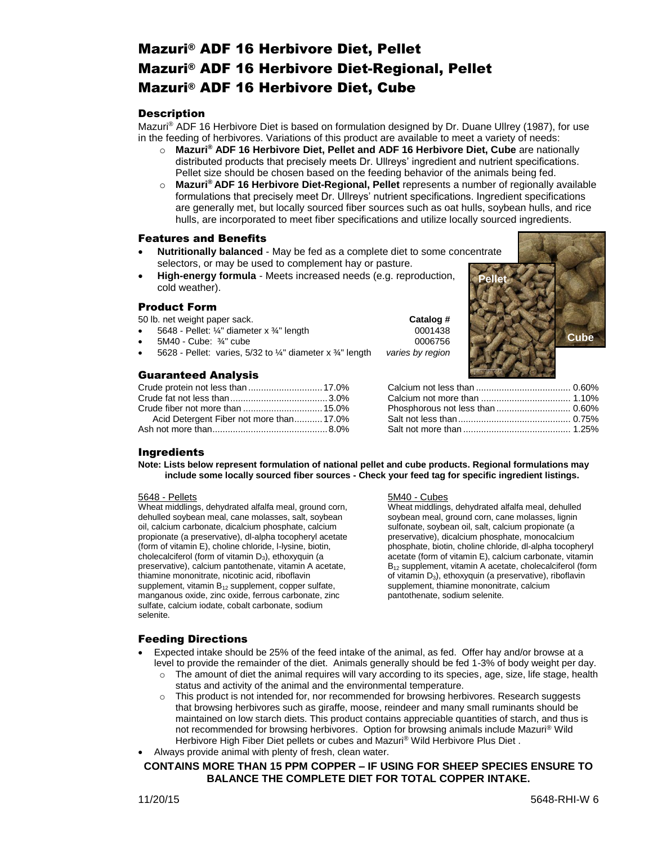# Mazuri® ADF 16 Herbivore Diet, Pellet Mazuri® ADF 16 Herbivore Diet-Regional, Pellet Mazuri® ADF 16 Herbivore Diet, Cube

### **Description**

Mazuri® ADF 16 Herbivore Diet is based on formulation designed by Dr. Duane Ullrey (1987), for use in the feeding of herbivores. Variations of this product are available to meet a variety of needs:

- o **Mazuri® ADF 16 Herbivore Diet, Pellet and ADF 16 Herbivore Diet, Cube** are nationally distributed products that precisely meets Dr. Ullreys' ingredient and nutrient specifications. Pellet size should be chosen based on the feeding behavior of the animals being fed.
- o **Mazuri® ADF 16 Herbivore Diet-Regional, Pellet** represents a number of regionally available formulations that precisely meet Dr. Ullreys' nutrient specifications. Ingredient specifications are generally met, but locally sourced fiber sources such as oat hulls, soybean hulls, and rice hulls, are incorporated to meet fiber specifications and utilize locally sourced ingredients.

#### Features and Benefits

- **Nutritionally balanced** May be fed as a complete diet to some concentrate selectors, or may be used to complement hay or pasture.
- **High-energy formula** Meets increased needs (e.g. reproduction, cold weather).

#### Product Form

50 lb. net weight paper sack. **Catalog #**

- 5648 Pellet: ¼" diameter x ¾" length 0001438
- 5M40 Cube: ¾" cube 0006756
- 5628 Pellet: varies, 5/32 to ¼" diameter x ¾" length *varies by region*

### Guaranteed Analysis

| Acid Detergent Fiber not more than17.0% |  |
|-----------------------------------------|--|
|                                         |  |



#### **Ingredients**

**Note: Lists below represent formulation of national pellet and cube products. Regional formulations may include some locally sourced fiber sources - Check your feed tag for specific ingredient listings.**

#### 5648 - Pellets

Wheat middlings, dehydrated alfalfa meal, ground corn, dehulled soybean meal, cane molasses, salt, soybean oil, calcium carbonate, dicalcium phosphate, calcium propionate (a preservative), dl-alpha tocopheryl acetate (form of vitamin E), choline chloride, l-lysine, biotin, cholecalciferol (form of vitamin D<sub>3</sub>), ethoxyquin (a preservative), calcium pantothenate, vitamin A acetate, thiamine mononitrate, nicotinic acid, riboflavin supplement, vitamin  $B_{12}$  supplement, copper sulfate, manganous oxide, zinc oxide, ferrous carbonate, zinc sulfate, calcium iodate, cobalt carbonate, sodium selenite.

#### 5M40 - Cubes

Wheat middlings, dehydrated alfalfa meal, dehulled soybean meal, ground corn, cane molasses, lignin sulfonate, soybean oil, salt, calcium propionate (a preservative), dicalcium phosphate, monocalcium phosphate, biotin, choline chloride, dl-alpha tocopheryl acetate (form of vitamin E), calcium carbonate, vitamin B<sub>12</sub> supplement, vitamin A acetate, cholecalciferol (form of vitamin  $D_3$ ), ethoxyquin (a preservative), riboflavin supplement, thiamine mononitrate, calcium pantothenate, sodium selenite.

#### Feeding Directions

- Expected intake should be 25% of the feed intake of the animal, as fed. Offer hay and/or browse at a level to provide the remainder of the diet. Animals generally should be fed 1-3% of body weight per day.
	- o The amount of diet the animal requires will vary according to its species, age, size, life stage, health status and activity of the animal and the environmental temperature.
	- This product is not intended for, nor recommended for browsing herbivores. Research suggests that browsing herbivores such as giraffe, moose, reindeer and many small ruminants should be maintained on low starch diets. This product contains appreciable quantities of starch, and thus is not recommended for browsing herbivores. Option for browsing animals include Mazuri® Wild Herbivore High Fiber Diet pellets or cubes and Mazuri® Wild Herbivore Plus Diet .
- Always provide animal with plenty of fresh, clean water.

#### **CONTAINS MORE THAN 15 PPM COPPER – IF USING FOR SHEEP SPECIES ENSURE TO BALANCE THE COMPLETE DIET FOR TOTAL COPPER INTAKE.**